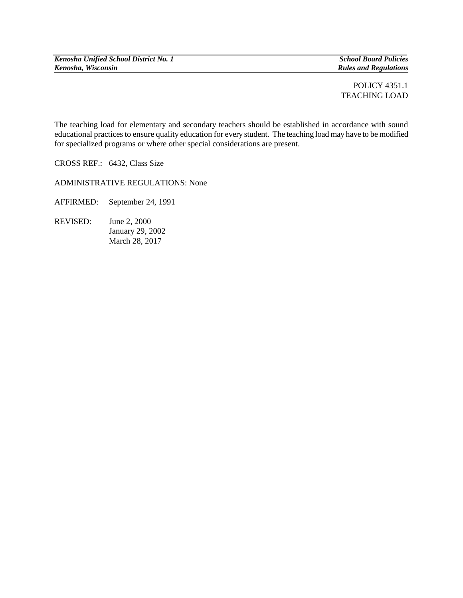*Kenosha Unified School District No. 1 School Board Policies*

*Kenosha, Wisconsin Rules and Regulations*

POLICY 4351.1 TEACHING LOAD

The teaching load for elementary and secondary teachers should be established in accordance with sound educational practices to ensure quality education for every student. The teaching load may have to be modified for specialized programs or where other special considerations are present.

CROSS REF.: 6432, Class Size

ADMINISTRATIVE REGULATIONS: None

AFFIRMED: September 24, 1991

REVISED: June 2, 2000 January 29, 2002 March 28, 2017